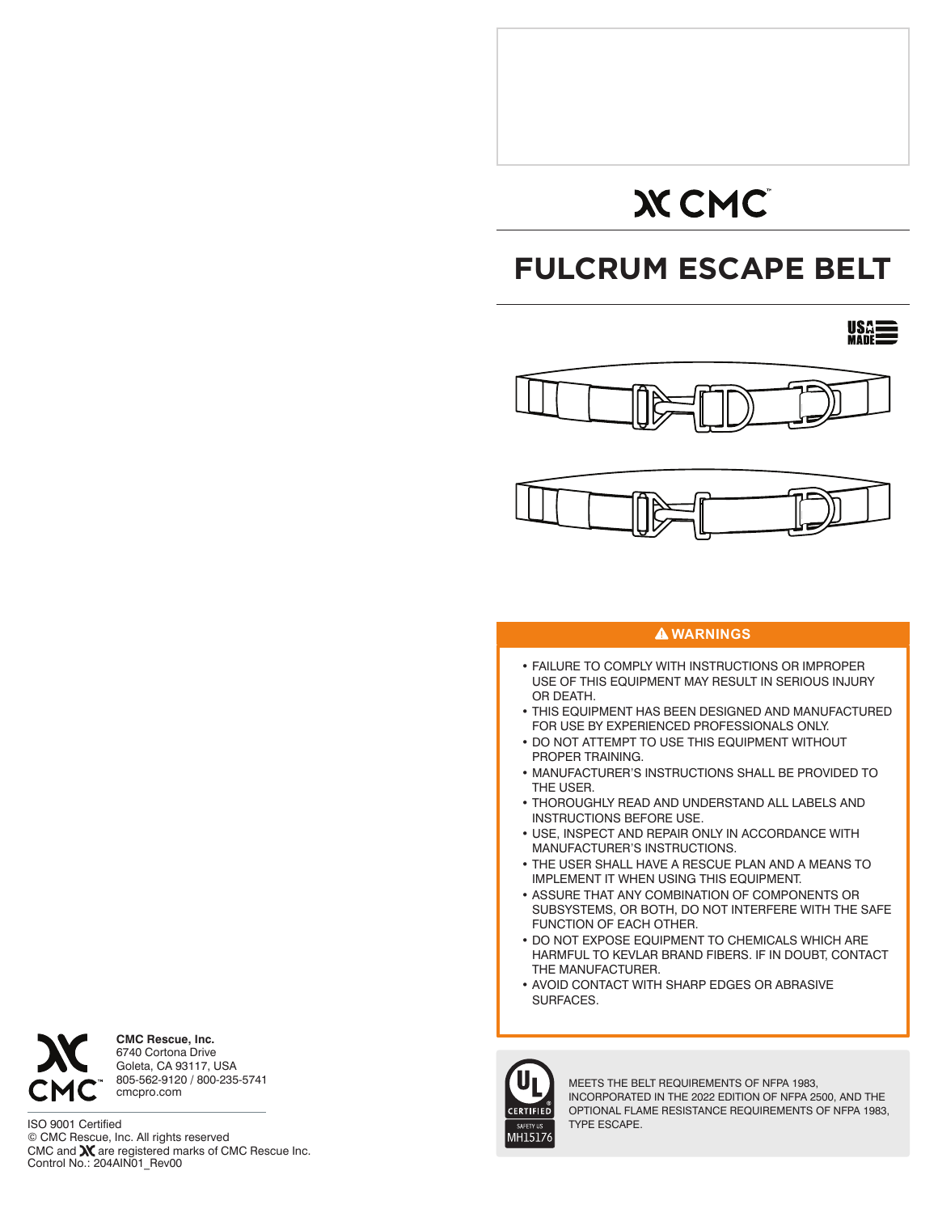# **XCMC**

# **FULCRUM ESCAPE BELT**





# **WARNINGS**

- FAILURE TO COMPLY WITH INSTRUCTIONS OR IMPROPER USE OF THIS EQUIPMENT MAY RESULT IN SERIOUS INJURY OR DEATH.
- THIS EQUIPMENT HAS BEEN DESIGNED AND MANUFACTURED FOR USE BY EXPERIENCED PROFESSIONALS ONLY.
- DO NOT ATTEMPT TO USE THIS EQUIPMENT WITHOUT PROPER TRAINING.
- MANUFACTURER'S INSTRUCTIONS SHALL BE PROVIDED TO THE USER.
- THOROUGHLY READ AND UNDERSTAND ALL LABELS AND INSTRUCTIONS BEFORE USE.
- USE, INSPECT AND REPAIR ONLY IN ACCORDANCE WITH MANUFACTURER'S INSTRUCTIONS.
- THE USER SHALL HAVE A RESCUE PLAN AND A MEANS TO IMPLEMENT IT WHEN USING THIS EQUIPMENT.
- ASSURE THAT ANY COMBINATION OF COMPONENTS OR SUBSYSTEMS, OR BOTH, DO NOT INTERFERE WITH THE SAFE FUNCTION OF EACH OTHER.
- DO NOT EXPOSE EQUIPMENT TO CHEMICALS WHICH ARE HARMFUL TO KEVLAR BRAND FIBERS. IF IN DOUBT, CONTACT THE MANUFACTURER.
- AVOID CONTACT WITH SHARP EDGES OR ABRASIVE SURFACES.



MEETS THE BELT REQUIREMENTS OF NFPA 1983, INCORPORATED IN THE 2022 EDITION OF NFPA 2500, AND THE OPTIONAL FLAME RESISTANCE REQUIREMENTS OF NFPA 1983, TYPE ESCAPE.

**CMC Rescue, Inc.** 6740 Cortona Drive Goleta, CA 93117, USA 805-562-9120 / 800-235-5741 cmcpro.com

ISO 9001 Certified © CMC Rescue, Inc. All rights reserved CMC and **X** are registered marks of CMC Rescue Inc.<br>Control No.: 204AIN01\_Rev00